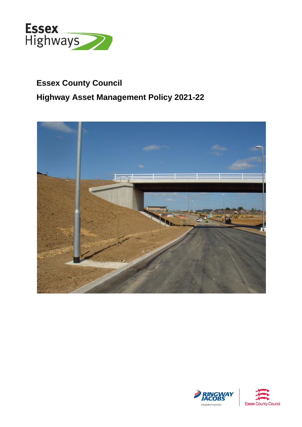

# **Essex County Council Highway Asset Management Policy 2021-22**





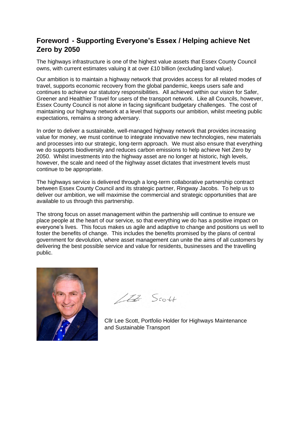## **Foreword - Supporting Everyone's Essex / Helping achieve Net Zero by 2050**

 The highways infrastructure is one of the highest value assets that Essex County Council owns, with current estimates valuing it at over £10 billion (excluding land value).

 Our ambition is to maintain a highway network that provides access for all related modes of travel, supports economic recovery from the global pandemic, keeps users safe and continues to achieve our statutory responsibilities. All achieved within our vision for Safer, Greener and Healthier Travel for users of the transport network. Like all Councils, however, Essex County Council is not alone in facing significant budgetary challenges. The cost of maintaining our highway network at a level that supports our ambition, whilst meeting public expectations, remains a strong adversary.

 In order to deliver a sustainable, well-managed highway network that provides increasing value for money, we must continue to integrate innovative new technologies, new materials and processes into our strategic, long-term approach. We must also ensure that everything 2050. Whilst investments into the highway asset are no longer at historic, high levels, however, the scale and need of the highway asset dictates that investment levels must continue to be appropriate. we do supports biodiversity and reduces carbon emissions to help achieve Net Zero by

 The highways service is delivered through a long-term collaborative partnership contract between Essex County Council and its strategic partner, Ringway Jacobs. To help us to deliver our ambition, we will maximise the commercial and strategic opportunities that are available to us through this partnership.

available to us through this partnership.<br>The strong focus on asset management within the partnership will continue to ensure we place people at the heart of our service, so that everything we do has a positive impact on everyone's lives. This focus makes us agile and adaptive to change and positions us well to foster the benefits of change. This includes the benefits promised by the plans of central government for devolution, where asset management can unite the aims of all customers by delivering the best possible service and value for residents, businesses and the travelling public.



 $112$  Scott

 Cllr Lee Scott, Portfolio Holder for Highways Maintenance and Sustainable Transport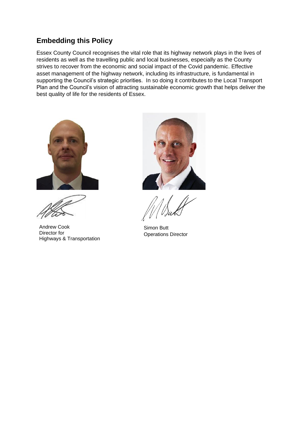# **Embedding this Policy**

Essex County Council recognises the vital role that its highway network plays in the lives of residents as well as the travelling public and local businesses, especially as the County strives to recover from the economic and social impact of the Covid pandemic. Effective asset management of the highway network, including its infrastructure, is fundamental in supporting the Council's strategic priorities. In so doing it contributes to the Local Transport Plan and the Council's vision of attracting sustainable economic growth that helps deliver the best quality of life for the residents of Essex.



Andrew Cook Simon Butt<br>
Director for Chighways & Transportation<br>
Highways & Transportation

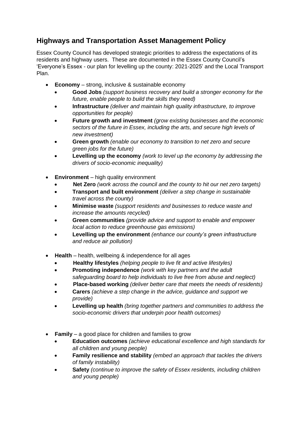# **Highways and Transportation Asset Management Policy**

 Essex County Council has developed strategic priorities to address the expectations of its 'Everyone's Essex - our plan for levelling up the county: 2021-2025' and the Local Transport residents and highway users. These are documented in the Essex County Council's Plan.

- **Economy**  strong, inclusive & sustainable economy
	- **Good Jobs** *(support business recovery and build a stronger economy for the future, enable people to build the skills they need)*
	- **Infrastructure** *(deliver and maintain high quality infrastructure, to improve opportunities for people)*
	- **Future growth and investment** *(grow existing businesses and the economic sectors of the future in Essex, including the arts, and secure high levels of new investment)*
	- **Green growth** *(enable our economy to transition to net zero and secure green jobs for the future)*
	- **Levelling up the economy** *(work to level up the economy by addressing the drivers of socio-economic inequality)*
- **Environment**  high quality environment
	- **Net Zero** *(work across the council and the county to hit our net zero targets)*
	- **Transport and built environment** *(deliver a step change in sustainable travel across the county)*
	- **Minimise waste** *(support residents and businesses to reduce waste and increase the amounts recycled)*
	- **Green communities** *(provide advice and support to enable and empower local action to reduce greenhouse gas emissions)*
	- **Levelling up the environment** *(enhance our county's green infrastructure and reduce air pollution)*
- • **Health**  health, wellbeing & independence for all ages
	- **Healthy lifestyles** *(helping people to live fit and active lifestyles)*
	- **Promoting independence** *(work with key partners and the adult*  safeguarding board to help individuals to live free from abuse and neglect)
	- **Place-based working** *(deliver better care that meets the needs of residents)*
	- **Carers** *(achieve a step change in the advice, guidance and support we provide)*
	- **Levelling up health** *(bring together partners and communities to address the socio-economic drivers that underpin poor health outcomes)*
- • **Family**  a good place for children and families to grow
	- **Education outcomes** *(achieve educational excellence and high standards for all children and young people)*
	- **Family resilience and stability** *(embed an approach that tackles the drivers of family instability)*
	- **Safety** *(continue to improve the safety of Essex residents, including children and young people)*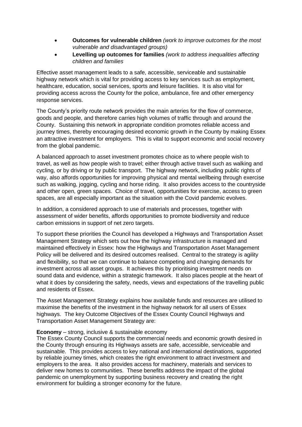- **Outcomes for vulnerable children** *(work to improve outcomes for the most vulnerable and disadvantaged groups)*
- **Levelling up outcomes for families** *(work to address inequalities affecting children and families*

 Effective asset management leads to a safe, accessible, serviceable and sustainable highway network which is vital for providing access to key services such as employment, healthcare, education, social services, sports and leisure facilities. It is also vital for providing access across the County for the police, ambulance, fire and other emergency response services.

 The County's priority route network provides the main arteries for the flow of commerce, goods and people, and therefore carries high volumes of traffic through and around the journey times, thereby encouraging desired economic growth in the County by making Essex an attractive investment for employers. This is vital to support economic and social recovery from the global pandemic. County. Sustaining this network in appropriate condition promotes reliable access and

 A balanced approach to asset investment promotes choice as to where people wish to travel, as well as how people wish to travel; either through active travel such as walking and cycling, or by driving or by public transport. The highway network, including public rights of such as walking, jogging, cycling and horse riding. It also provides access to the countryside and other open, green spaces. Choice of travel, opportunities for exercise, access to green spaces, are all especially important as the situation with the Covid pandemic evolves. way, also affords opportunities for improving physical and mental wellbeing through exercise

 In addition, a considered approach to use of materials and processes, together with assessment of wider benefits, affords opportunities to promote biodiversity and reduce carbon emissions in support of net zero targets.

 To support these priorities the Council has developed a Highways and Transportation Asset Management Strategy which sets out how the highway infrastructure is managed and maintained effectively in Essex: how the Highways and Transportation Asset Management Policy will be delivered and its desired outcomes realised. Central to the strategy is agility and flexibility, so that we can continue to balance competing and changing demands for investment across all asset groups. It achieves this by prioritising investment needs on sound data and evidence, within a strategic framework. It also places people at the heart of what it does by considering the safety, needs, views and expectations of the travelling public and residents of Essex.

 maximise the benefits of the investment in the highway network for all users of Essex highways. The key Outcome Objectives of the Essex County Council Highways and The Asset Management Strategy explains how available funds and resources are utilised to Transportation Asset Management Strategy are:

#### **Economy** – strong, inclusive & sustainable economy

 sustainable. This provides access to key national and international destinations, supported by reliable journey times, which creates the right environment to attract investment and employers to the area. It also provides access for machinery, materials and services to deliver new homes to communities. These benefits address the impact of the global pandemic on unemployment by supporting business recovery and creating the right environment for building a stronger economy for the future. The Essex County Council supports the commercial needs and economic growth desired in the County through ensuring its Highways assets are safe, accessible, serviceable and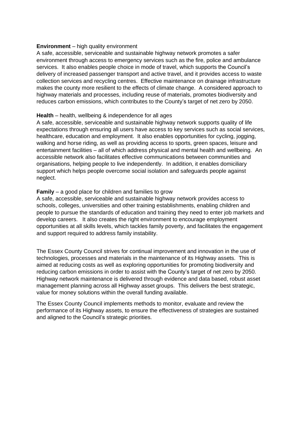### **Environment** – high quality environment

 environment through access to emergency services such as the fire, police and ambulance services. It also enables people choice in mode of travel, which supports the Council's delivery of increased passenger transport and active travel, and it provides access to waste collection services and recycling centres. Effective maintenance on drainage infrastructure makes the county more resilient to the effects of climate change. A considered approach to highway materials and processes, including reuse of materials, promotes biodiversity and reduces carbon emissions, which contributes to the County's target of net zero by 2050. A safe, accessible, serviceable and sustainable highway network promotes a safer

### **Health** – health, wellbeing & independence for all ages

 A safe, accessible, serviceable and sustainable highway network supports quality of life expectations through ensuring all users have access to key services such as social services, healthcare, education and employment. It also enables opportunities for cycling, jogging, walking and horse riding, as well as providing access to sports, green spaces, leisure and entertainment facilities – all of which address physical and mental health and wellbeing. An organisations, helping people to live independently. In addition, it enables domiciliary accessible network also facilitates effective communications between communities and support which helps people overcome social isolation and safeguards people against neglect.

### **Family** – a good place for children and families to grow

 A safe, accessible, serviceable and sustainable highway network provides access to schools, colleges, universities and other training establishments, enabling children and people to pursue the standards of education and training they need to enter job markets and develop careers. It also creates the right environment to encourage employment opportunities at all skills levels, which tackles family poverty, and facilitates the engagement and support required to address family instability.

 The Essex County Council strives for continual improvement and innovation in the use of technologies, processes and materials in the maintenance of its Highway assets. This is aimed at reducing costs as well as exploring opportunities for promoting biodiversity and reducing carbon emissions in order to assist with the County's target of net zero by 2050. Highway network maintenance is delivered through evidence and data based, robust asset management planning across all Highway asset groups. This delivers the best strategic, value for money solutions within the overall funding available.

 The Essex County Council implements methods to monitor, evaluate and review the performance of its Highway assets, to ensure the effectiveness of strategies are sustained and aligned to the Council's strategic priorities.